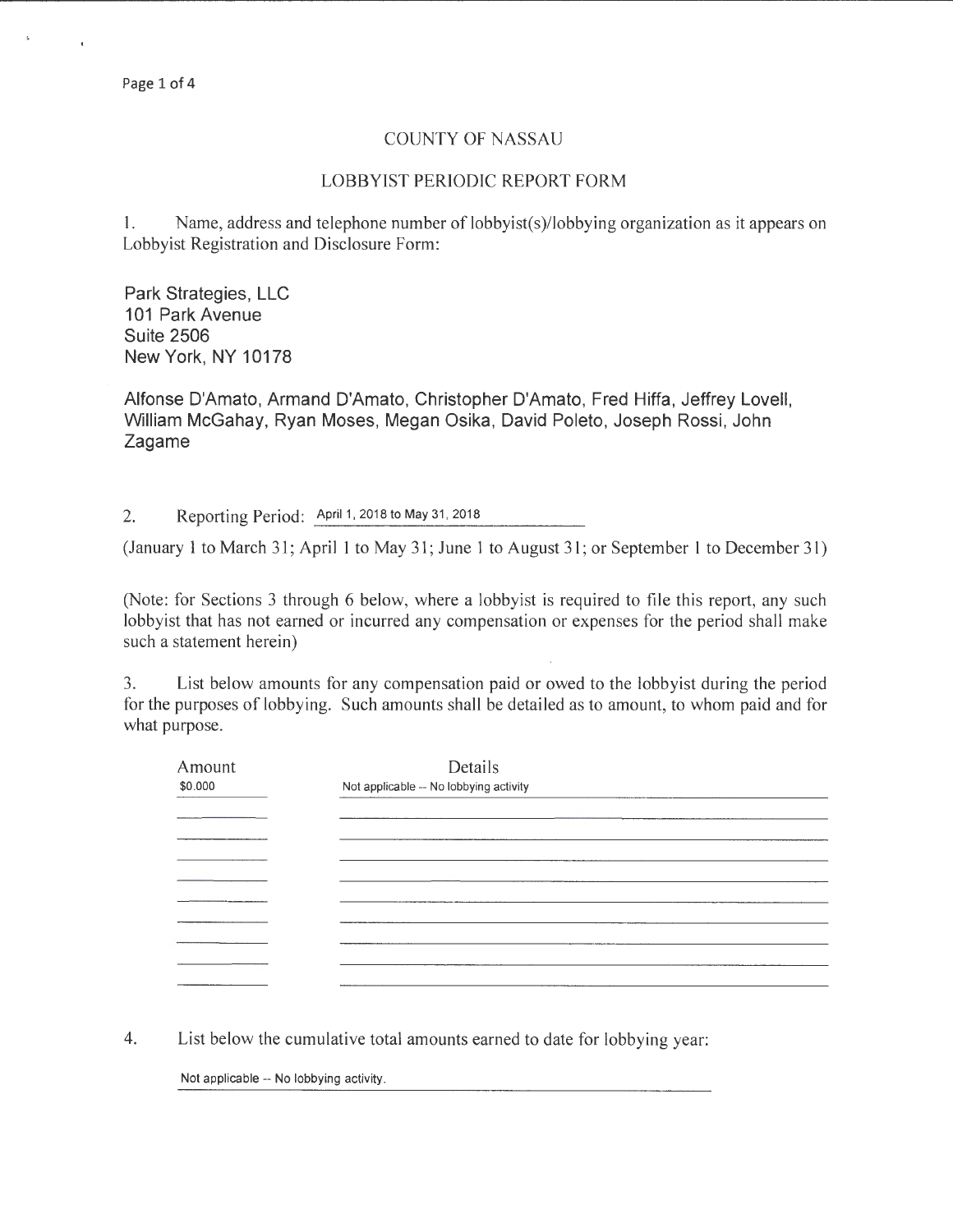## COUNTY OF NASSAU

## LOBBYIST PERIODIC REPORT FORM

I. Name, address and telephone number of lobbyist(s)/lobbying organization as it appears on Lobbyist Registration and Disclosure Form:

Park Strategies, LLC 101 Park Avenue Suite 2506 New York, NY 10178

Alfonse D'Amato, Armand D'Amato, Christopher D'Amato, Fred Hiffa, Jeffrey Lovell, William McGahay, Ryan Moses, Megan Osika, David Poleto, Joseph Rossi, John Zagame

2. Reporting Period: April 1, 2018 to May 31, 2018

(January 1 to March 31; April 1 to May 31; June 1 to August 31; or September 1 to December 31)

(Note: for Sections 3 through 6 below, where a lobbyist is required to file this report, any such lobbyist that has not earned or incurred any compensation or expenses for the period shall make such a statement herein)

3. List below amounts for any compensation paid or owed to the lobbyist during the period for the purposes of lobbying. Such amounts shall be detailed as to amount, to whom paid and for what purpose.

| Amount<br>\$0.000 | Details<br>Not applicable -- No lobbying activity                                     |  |  |  |
|-------------------|---------------------------------------------------------------------------------------|--|--|--|
|                   |                                                                                       |  |  |  |
|                   |                                                                                       |  |  |  |
|                   |                                                                                       |  |  |  |
|                   |                                                                                       |  |  |  |
|                   | The control of the property and the property of the Advance Control Council and Child |  |  |  |
|                   |                                                                                       |  |  |  |
|                   |                                                                                       |  |  |  |
|                   | a control of the control of the control of the con-                                   |  |  |  |
|                   |                                                                                       |  |  |  |

4. List below the cumulative total amounts earned to date for lobbying year:

Not applicable -- No lobbying activity.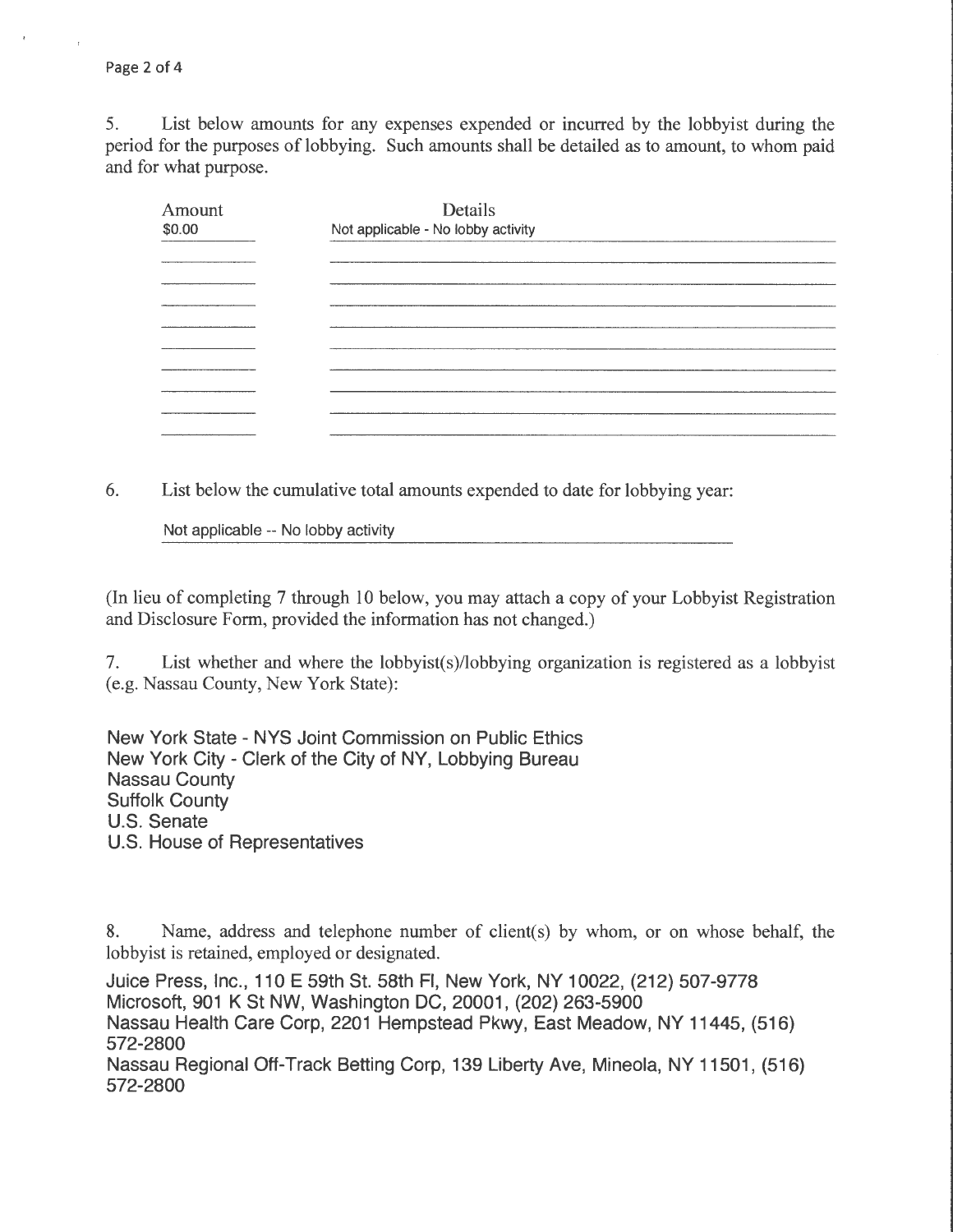Page 2 of 4

5. List below amounts for any expenses expended or incurred by the lobbyist during the period for the purposes of lobbying. Such amounts shall be detailed as to amount, to whom paid and for what purpose.

| Amount<br>\$0.00 | Details<br>Not applicable - No lobby activity |  |  |  |
|------------------|-----------------------------------------------|--|--|--|
|                  |                                               |  |  |  |
|                  |                                               |  |  |  |
|                  |                                               |  |  |  |
|                  |                                               |  |  |  |
|                  |                                               |  |  |  |
|                  |                                               |  |  |  |
|                  |                                               |  |  |  |
|                  |                                               |  |  |  |
|                  |                                               |  |  |  |

6. List below the cumulative total amounts expended to date for lobbying year:

Not applicable -- No lobby activity

(In lieu of completing 7 through 10 below, you may attach a copy of your Lobbyist Registration and Disclosure Form, provided the information has not changed.)

7. List whether and where the lobbyist(s)/lobbying organization is registered as a lobbyist (e.g. Nassau County, New York State):

New York State- NYS Joint Commission on Public Ethics New York City- Clerk of the City of NY, Lobbying Bureau Nassau County Suffolk County U.S. Senate U.S. House of Representatives

8. Name, address and telephone number of client(s) by whom, or on whose behalf, the lobbyist is retained, employed or designated.

Juice Press, Inc., 110 E 59th St. 58th Fl, New York, NY 10022, (212) 507-9778 Microsoft, 901 K St NW, Washington DC, 20001, (202) 263-5900 Nassau Health Care Corp, 2201 Hempstead Pkwy, East Meadow, NY 11445, (516) 572-2800 Nassau Regional Off-Track Betting Corp, 139 Liberty Ave, Mineola, NY 11501, (516) 572-2800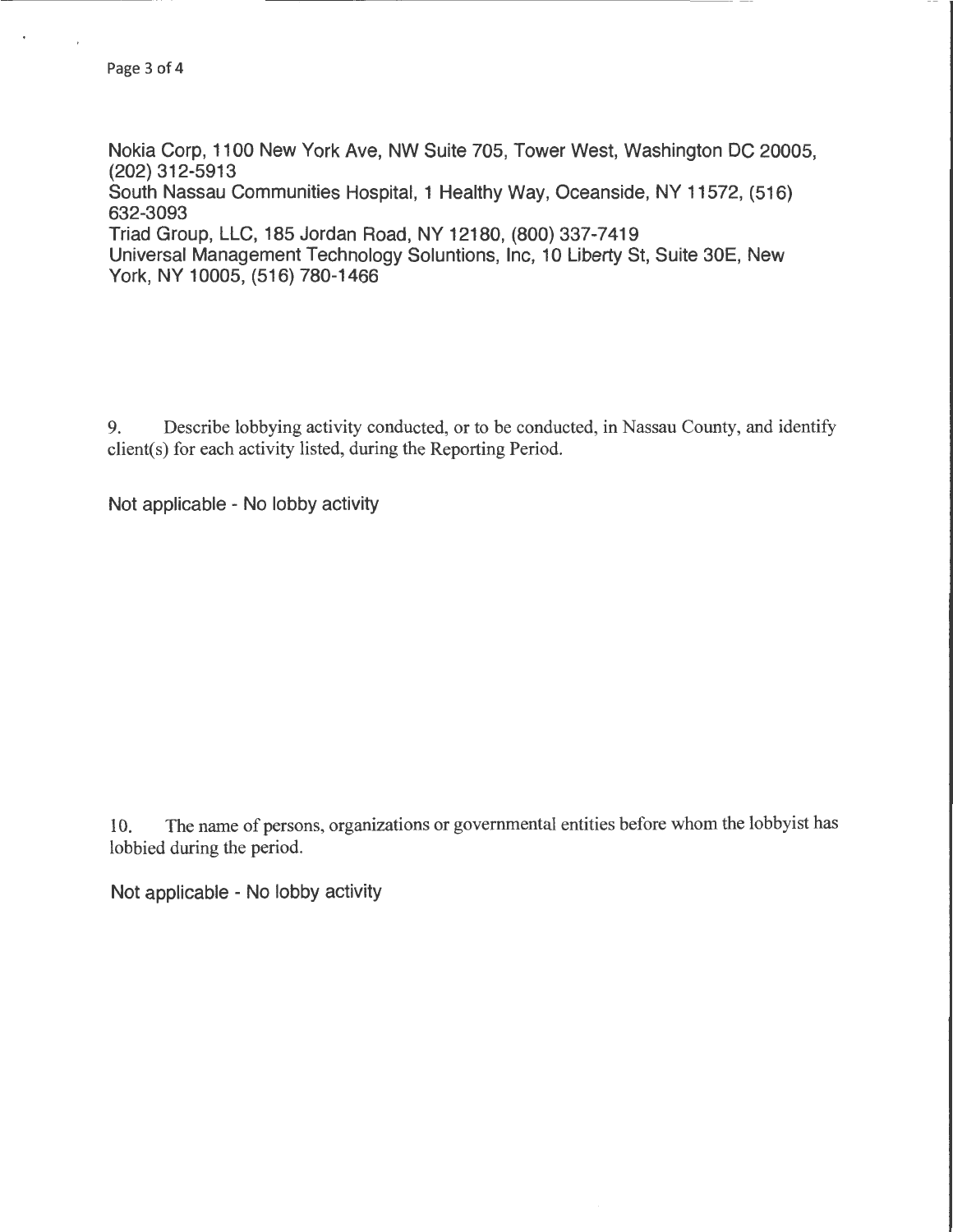Nokia Corp, 1100 New York Ave, NW Suite 705, Tower West, Washington DC 20005, (202) 312-5913 South Nassau Communities Hospital, 1 Healthy Way, Oceanside, NY 11572, (516) 632-3093 Triad Group, LLC, 185 Jordan Road, NY 12180, (800) 337-7419 Universal Management Technology Soluntions, Inc, 10 Liberty St, Suite 30E, New York, NY 10005, (516) 780-1466

9. Describe lobbying activity conducted, or to be conducted, in Nassau County, and identify client(s) for each activity listed, during the Reporting Period.

Not applicable - No lobby activity

10. The name of persons, organizations or governmental entities before whom the lobbyist has lobbied during the period.

Not applicable - No lobby activity